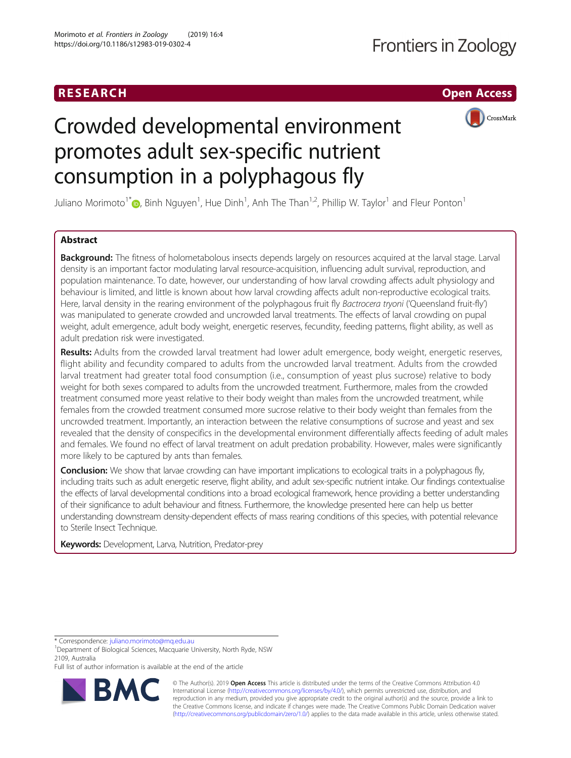# RESEARCH **RESEARCH CHANNEL CONTROL**



# Crowded developmental environment promotes adult sex-specific nutrient consumption in a polyphagous fly

Juliano Morimoto<sup>1[\\*](http://orcid.org/0000-0003-3561-1920)</sup>�, Binh Nguyen<sup>1</sup>, Hue Dinh<sup>1</sup>, Anh The Than<sup>1,2</sup>, Phillip W. Taylor<sup>1</sup> and Fleur Ponton<sup>1</sup>

# Abstract

Background: The fitness of holometabolous insects depends largely on resources acquired at the larval stage. Larval density is an important factor modulating larval resource-acquisition, influencing adult survival, reproduction, and population maintenance. To date, however, our understanding of how larval crowding affects adult physiology and behaviour is limited, and little is known about how larval crowding affects adult non-reproductive ecological traits. Here, larval density in the rearing environment of the polyphagous fruit fly Bactrocera tryoni ('Queensland fruit-fly') was manipulated to generate crowded and uncrowded larval treatments. The effects of larval crowding on pupal weight, adult emergence, adult body weight, energetic reserves, fecundity, feeding patterns, flight ability, as well as adult predation risk were investigated.

Results: Adults from the crowded larval treatment had lower adult emergence, body weight, energetic reserves, flight ability and fecundity compared to adults from the uncrowded larval treatment. Adults from the crowded larval treatment had greater total food consumption (i.e., consumption of yeast plus sucrose) relative to body weight for both sexes compared to adults from the uncrowded treatment. Furthermore, males from the crowded treatment consumed more yeast relative to their body weight than males from the uncrowded treatment, while females from the crowded treatment consumed more sucrose relative to their body weight than females from the uncrowded treatment. Importantly, an interaction between the relative consumptions of sucrose and yeast and sex revealed that the density of conspecifics in the developmental environment differentially affects feeding of adult males and females. We found no effect of larval treatment on adult predation probability. However, males were significantly more likely to be captured by ants than females.

Conclusion: We show that larvae crowding can have important implications to ecological traits in a polyphagous fly, including traits such as adult energetic reserve, flight ability, and adult sex-specific nutrient intake. Our findings contextualise the effects of larval developmental conditions into a broad ecological framework, hence providing a better understanding of their significance to adult behaviour and fitness. Furthermore, the knowledge presented here can help us better understanding downstream density-dependent effects of mass rearing conditions of this species, with potential relevance to Sterile Insect Technique.

Keywords: Development, Larva, Nutrition, Predator-prey

\* Correspondence: [juliano.morimoto@mq.edu.au](mailto:juliano.morimoto@mq.edu.au) <sup>1</sup>

<sup>1</sup>Department of Biological Sciences, Macquarie University, North Ryde, NSW 2109, Australia

Full list of author information is available at the end of the article



© The Author(s). 2019 **Open Access** This article is distributed under the terms of the Creative Commons Attribution 4.0 International License [\(http://creativecommons.org/licenses/by/4.0/](http://creativecommons.org/licenses/by/4.0/)), which permits unrestricted use, distribution, and reproduction in any medium, provided you give appropriate credit to the original author(s) and the source, provide a link to the Creative Commons license, and indicate if changes were made. The Creative Commons Public Domain Dedication waiver [\(http://creativecommons.org/publicdomain/zero/1.0/](http://creativecommons.org/publicdomain/zero/1.0/)) applies to the data made available in this article, unless otherwise stated.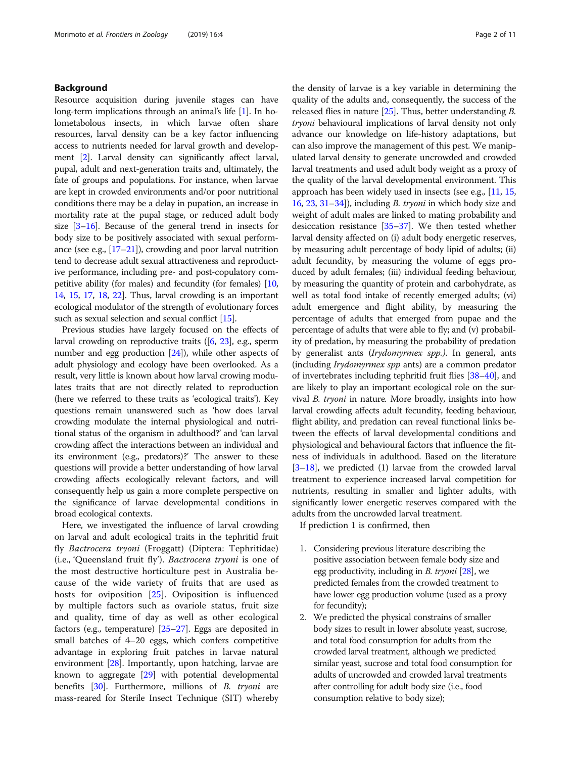# Background

Resource acquisition during juvenile stages can have long-term implications through an animal's life [\[1\]](#page-8-0). In holometabolous insects, in which larvae often share resources, larval density can be a key factor influencing access to nutrients needed for larval growth and development [\[2](#page-8-0)]. Larval density can significantly affect larval, pupal, adult and next-generation traits and, ultimately, the fate of groups and populations. For instance, when larvae are kept in crowded environments and/or poor nutritional conditions there may be a delay in pupation, an increase in mortality rate at the pupal stage, or reduced adult body size  $[3-16]$  $[3-16]$  $[3-16]$  $[3-16]$ . Because of the general trend in insects for body size to be positively associated with sexual performance (see e.g., [\[17](#page-9-0)–[21](#page-9-0)]), crowding and poor larval nutrition tend to decrease adult sexual attractiveness and reproductive performance, including pre- and post-copulatory competitive ability (for males) and fecundity (for females) [[10](#page-9-0), [14](#page-9-0), [15](#page-9-0), [17,](#page-9-0) [18,](#page-9-0) [22](#page-9-0)]. Thus, larval crowding is an important ecological modulator of the strength of evolutionary forces such as sexual selection and sexual conflict [\[15\]](#page-9-0).

Previous studies have largely focused on the effects of larval crowding on reproductive traits ([\[6,](#page-8-0) [23\]](#page-9-0), e.g., sperm number and egg production [[24](#page-9-0)]), while other aspects of adult physiology and ecology have been overlooked. As a result, very little is known about how larval crowing modulates traits that are not directly related to reproduction (here we referred to these traits as 'ecological traits'). Key questions remain unanswered such as 'how does larval crowding modulate the internal physiological and nutritional status of the organism in adulthood?' and 'can larval crowding affect the interactions between an individual and its environment (e.g., predators)?' The answer to these questions will provide a better understanding of how larval crowding affects ecologically relevant factors, and will consequently help us gain a more complete perspective on the significance of larvae developmental conditions in broad ecological contexts.

Here, we investigated the influence of larval crowding on larval and adult ecological traits in the tephritid fruit fly Bactrocera tryoni (Froggatt) (Diptera: Tephritidae) (i.e., 'Queensland fruit fly'). Bactrocera tryoni is one of the most destructive horticulture pest in Australia because of the wide variety of fruits that are used as hosts for oviposition [[25](#page-9-0)]. Oviposition is influenced by multiple factors such as ovariole status, fruit size and quality, time of day as well as other ecological factors (e.g., temperature) [\[25](#page-9-0)–[27](#page-9-0)]. Eggs are deposited in small batches of 4–20 eggs, which confers competitive advantage in exploring fruit patches in larvae natural environment [[28](#page-9-0)]. Importantly, upon hatching, larvae are known to aggregate [[29](#page-9-0)] with potential developmental benefits [[30](#page-9-0)]. Furthermore, millions of *B. tryoni* are mass-reared for Sterile Insect Technique (SIT) whereby

the density of larvae is a key variable in determining the quality of the adults and, consequently, the success of the released flies in nature  $[25]$  $[25]$  $[25]$ . Thus, better understanding *B*. tryoni behavioural implications of larval density not only advance our knowledge on life-history adaptations, but can also improve the management of this pest. We manipulated larval density to generate uncrowded and crowded larval treatments and used adult body weight as a proxy of the quality of the larval developmental environment. This approach has been widely used in insects (see e.g., [\[11,](#page-9-0) [15](#page-9-0), [16](#page-9-0), [23,](#page-9-0) [31](#page-9-0)–[34\]](#page-9-0)), including B. tryoni in which body size and weight of adult males are linked to mating probability and desiccation resistance [[35](#page-9-0)–[37\]](#page-9-0). We then tested whether larval density affected on (i) adult body energetic reserves, by measuring adult percentage of body lipid of adults; (ii) adult fecundity, by measuring the volume of eggs produced by adult females; (iii) individual feeding behaviour, by measuring the quantity of protein and carbohydrate, as well as total food intake of recently emerged adults; (vi) adult emergence and flight ability, by measuring the percentage of adults that emerged from pupae and the percentage of adults that were able to fly; and (v) probability of predation, by measuring the probability of predation by generalist ants (*Irydomyrmex spp.*). In general, ants (including Irydomyrmex spp ants) are a common predator of invertebrates including tephritid fruit flies [\[38](#page-9-0)–[40\]](#page-9-0), and are likely to play an important ecological role on the survival B. tryoni in nature. More broadly, insights into how larval crowding affects adult fecundity, feeding behaviour, flight ability, and predation can reveal functional links between the effects of larval developmental conditions and physiological and behavioural factors that influence the fitness of individuals in adulthood. Based on the literature [[3](#page-8-0)–[18](#page-9-0)], we predicted (1) larvae from the crowded larval treatment to experience increased larval competition for nutrients, resulting in smaller and lighter adults, with significantly lower energetic reserves compared with the adults from the uncrowded larval treatment.

If prediction 1 is confirmed, then

- 1. Considering previous literature describing the positive association between female body size and egg productivity, including in B. tryoni  $[28]$ , we predicted females from the crowded treatment to have lower egg production volume (used as a proxy for fecundity);
- 2. We predicted the physical constrains of smaller body sizes to result in lower absolute yeast, sucrose, and total food consumption for adults from the crowded larval treatment, although we predicted similar yeast, sucrose and total food consumption for adults of uncrowded and crowded larval treatments after controlling for adult body size (i.e., food consumption relative to body size);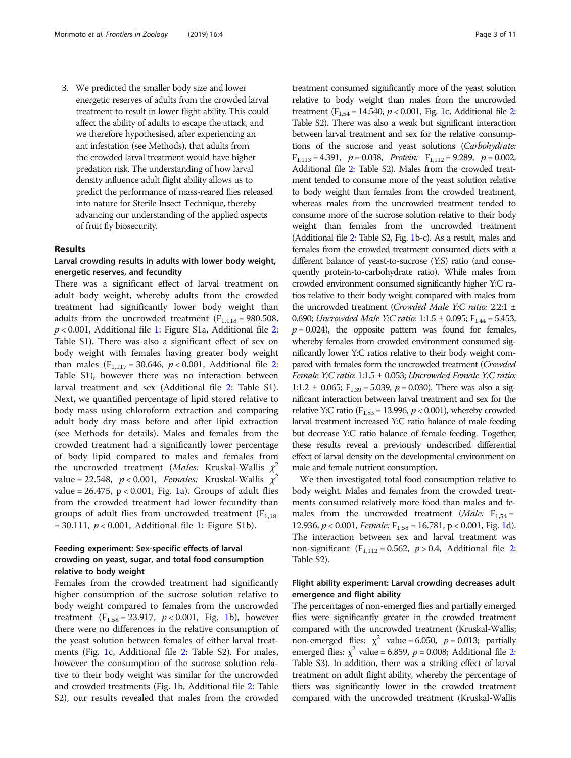3. We predicted the smaller body size and lower energetic reserves of adults from the crowded larval treatment to result in lower flight ability. This could affect the ability of adults to escape the attack, and we therefore hypothesised, after experiencing an ant infestation (see Methods), that adults from the crowded larval treatment would have higher predation risk. The understanding of how larval density influence adult flight ability allows us to predict the performance of mass-reared flies released into nature for Sterile Insect Technique, thereby advancing our understanding of the applied aspects of fruit fly biosecurity.

# Results

# Larval crowding results in adults with lower body weight, energetic reserves, and fecundity

There was a significant effect of larval treatment on adult body weight, whereby adults from the crowded treatment had significantly lower body weight than adults from the uncrowded treatment  $(F_{1,118} = 980.508,$  $p < 0.001$ , Additional file [1:](#page-8-0) Figure S1a, Additional file [2](#page-8-0): Table S1). There was also a significant effect of sex on body weight with females having greater body weight than males  $(F_{1,117} = 30.646, p < 0.001,$  Additional file [2](#page-8-0): Table S1), however there was no interaction between larval treatment and sex (Additional file [2](#page-8-0): Table S1). Next, we quantified percentage of lipid stored relative to body mass using chloroform extraction and comparing adult body dry mass before and after lipid extraction (see Methods for details). Males and females from the crowded treatment had a significantly lower percentage of body lipid compared to males and females from the uncrowded treatment (Males: Kruskal-Wallis  $\chi^2$ value = 22.548,  $p < 0.001$ , Females: Kruskal-Wallis  $\chi^2$ value =  $26.475$ ,  $p < 0.001$  $p < 0.001$ , Fig. 1a). Groups of adult flies from the crowded treatment had lower fecundity than groups of adult flies from uncrowded treatment  $(F_{1,18})$  $= 30.111$  $= 30.111$  $= 30.111$ ,  $p < 0.001$ , Additional file 1: Figure S1b).

# Feeding experiment: Sex-specific effects of larval crowding on yeast, sugar, and total food consumption relative to body weight

Females from the crowded treatment had significantly higher consumption of the sucrose solution relative to body weight compared to females from the uncrowded treatment  $(F_{1,58} = 23.917, p < 0.001, Fig. 1b)$  $(F_{1,58} = 23.917, p < 0.001, Fig. 1b)$  $(F_{1,58} = 23.917, p < 0.001, Fig. 1b)$ , however there were no differences in the relative consumption of the yeast solution between females of either larval treatments (Fig. [1](#page-3-0)c, Additional file [2:](#page-8-0) Table S2). For males, however the consumption of the sucrose solution relative to their body weight was similar for the uncrowded and crowded treatments (Fig. [1b](#page-3-0), Additional file [2](#page-8-0): Table S2), our results revealed that males from the crowded

treatment consumed significantly more of the yeast solution relative to body weight than males from the uncrowded treatment ( $F_{1,54} = 14.540, p < 0.001$  $F_{1,54} = 14.540, p < 0.001$  $F_{1,54} = 14.540, p < 0.001$ , Fig. 1c, Additional file [2](#page-8-0): Table S2). There was also a weak but significant interaction between larval treatment and sex for the relative consumptions of the sucrose and yeast solutions (Carbohydrate:  $F_{1,113} = 4.391$ ,  $p = 0.038$ , *Protein:*  $F_{1,112} = 9.289$ ,  $p = 0.002$ , Additional file [2](#page-8-0): Table S2). Males from the crowded treatment tended to consume more of the yeast solution relative to body weight than females from the crowded treatment, whereas males from the uncrowded treatment tended to consume more of the sucrose solution relative to their body weight than females from the uncrowded treatment (Additional file [2:](#page-8-0) Table S2, Fig. [1](#page-3-0)b-c). As a result, males and females from the crowded treatment consumed diets with a different balance of yeast-to-sucrose (Y:S) ratio (and consequently protein-to-carbohydrate ratio). While males from crowded environment consumed significantly higher Y:C ratios relative to their body weight compared with males from the uncrowded treatment (Crowded Male Y:C ratio: 2.2:1  $\pm$ 0.690; Uncrowded Male Y:C ratio: 1:1.5  $\pm$  0.095; F<sub>1.44</sub> = 5.453,  $p = 0.024$ ), the opposite pattern was found for females, whereby females from crowded environment consumed significantly lower Y:C ratios relative to their body weight compared with females form the uncrowded treatment (Crowded Female Y:C ratio:  $1:1.5 \pm 0.053$ ; Uncrowded Female Y:C ratio: 1:1.2  $\pm$  0.065; F<sub>1,39</sub> = 5.039, p = 0.030). There was also a significant interaction between larval treatment and sex for the relative Y:C ratio ( $F_{1,83}$  = 13.996,  $p$  < 0.001), whereby crowded larval treatment increased Y:C ratio balance of male feeding but decrease Y:C ratio balance of female feeding. Together, these results reveal a previously undescribed differential effect of larval density on the developmental environment on male and female nutrient consumption.

We then investigated total food consumption relative to body weight. Males and females from the crowded treatments consumed relatively more food than males and females from the uncrowded treatment (*Male*:  $F_{1,54}$  = [1](#page-3-0)2.936,  $p < 0.001$ , Female:  $F_{1,58} = 16.781$ , p < 0.001, Fig. 1d). The interaction between sex and larval treatment was non-significant (F<sub>1,11[2](#page-8-0)</sub> = 0.562,  $p > 0.4$ , Additional file 2: Table S2).

# Flight ability experiment: Larval crowding decreases adult emergence and flight ability

The percentages of non-emerged flies and partially emerged flies were significantly greater in the crowded treatment compared with the uncrowded treatment (Kruskal-Wallis; non-emerged flies:  $\chi^2$  value = 6.050,  $p = 0.013$ ; partially emerged flies:  $\chi^2$  $\chi^2$  value = 6.859,  $p = 0.008$ ; Additional file 2: Table S3). In addition, there was a striking effect of larval treatment on adult flight ability, whereby the percentage of fliers was significantly lower in the crowded treatment compared with the uncrowded treatment (Kruskal-Wallis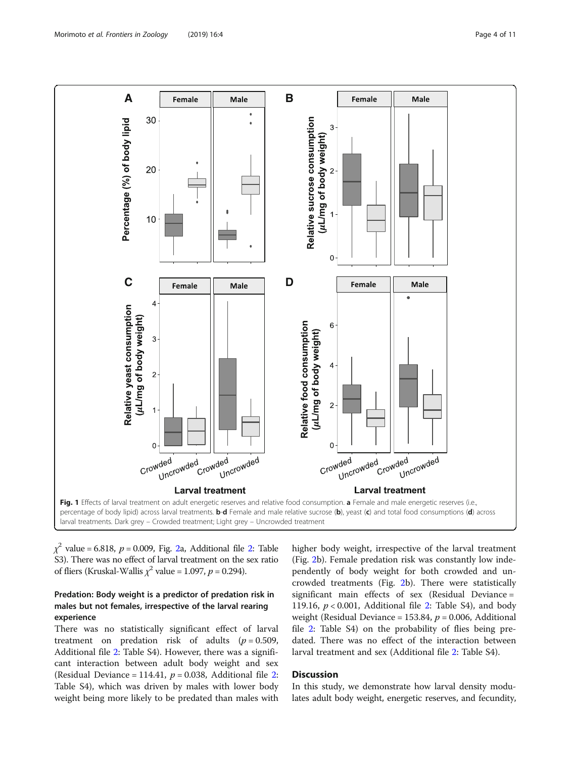<span id="page-3-0"></span>

 $\chi^2$  $\chi^2$  value = 6.818, p = 0.009, Fig. [2a](#page-4-0), Additional file 2: Table S3). There was no effect of larval treatment on the sex ratio of fliers (Kruskal-Wallis  $\chi^2$  value = 1.097,  $p$  = 0.294).

# Predation: Body weight is a predictor of predation risk in males but not females, irrespective of the larval rearing experience

There was no statistically significant effect of larval treatment on predation risk of adults  $(p = 0.509,$ Additional file [2](#page-8-0): Table S4). However, there was a significant interaction between adult body weight and sex (Residual Deviance = 114.41,  $p = 0.038$ , Additional file [2](#page-8-0): Table S4), which was driven by males with lower body weight being more likely to be predated than males with

higher body weight, irrespective of the larval treatment (Fig. [2](#page-4-0)b). Female predation risk was constantly low independently of body weight for both crowded and uncrowded treatments (Fig. [2b](#page-4-0)). There were statistically significant main effects of sex (Residual Deviance = 119.16,  $p < 0.001$ , Additional file [2](#page-8-0): Table S4), and body weight (Residual Deviance = 153.84,  $p = 0.006$ , Additional file [2:](#page-8-0) Table S4) on the probability of flies being predated. There was no effect of the interaction between larval treatment and sex (Additional file [2](#page-8-0): Table S4).

# **Discussion**

In this study, we demonstrate how larval density modulates adult body weight, energetic reserves, and fecundity,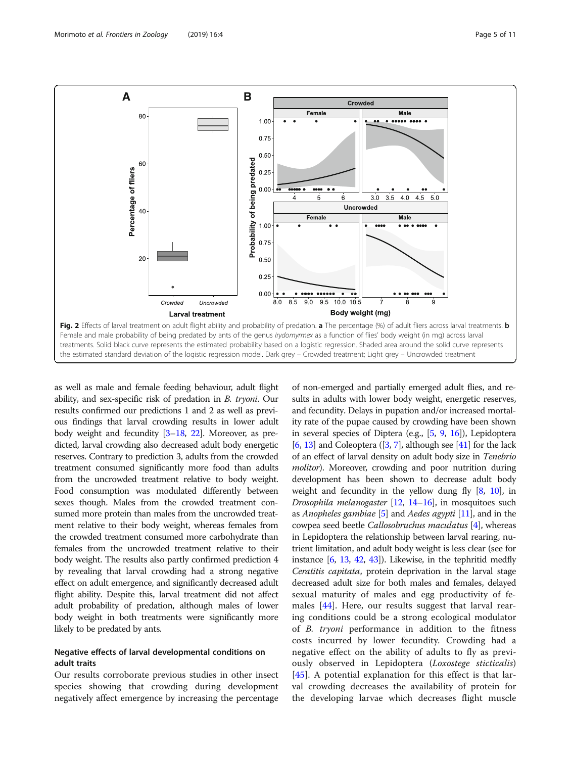<span id="page-4-0"></span>

as well as male and female feeding behaviour, adult flight ability, and sex-specific risk of predation in B. tryoni. Our results confirmed our predictions 1 and 2 as well as previous findings that larval crowding results in lower adult body weight and fecundity [[3](#page-8-0)–[18,](#page-9-0) [22\]](#page-9-0). Moreover, as predicted, larval crowding also decreased adult body energetic reserves. Contrary to prediction 3, adults from the crowded treatment consumed significantly more food than adults from the uncrowded treatment relative to body weight. Food consumption was modulated differently between sexes though. Males from the crowded treatment consumed more protein than males from the uncrowded treatment relative to their body weight, whereas females from the crowded treatment consumed more carbohydrate than females from the uncrowded treatment relative to their body weight. The results also partly confirmed prediction 4 by revealing that larval crowding had a strong negative effect on adult emergence, and significantly decreased adult flight ability. Despite this, larval treatment did not affect adult probability of predation, although males of lower body weight in both treatments were significantly more likely to be predated by ants.

# Negative effects of larval developmental conditions on adult traits

Our results corroborate previous studies in other insect species showing that crowding during development negatively affect emergence by increasing the percentage

of non-emerged and partially emerged adult flies, and results in adults with lower body weight, energetic reserves, and fecundity. Delays in pupation and/or increased mortality rate of the pupae caused by crowding have been shown in several species of Diptera (e.g., [\[5](#page-8-0), [9,](#page-9-0) [16](#page-9-0)]), Lepidoptera [[6,](#page-8-0) [13\]](#page-9-0) and Coleoptera ( $[3, 7]$  $[3, 7]$  $[3, 7]$  $[3, 7]$ , although see [[41](#page-9-0)] for the lack of an effect of larval density on adult body size in Tenebrio molitor). Moreover, crowding and poor nutrition during development has been shown to decrease adult body weight and fecundity in the yellow dung fly [\[8](#page-9-0), [10\]](#page-9-0), in Drosophila melanogaster [[12](#page-9-0), [14](#page-9-0)–[16\]](#page-9-0), in mosquitoes such as Anopheles gambiae [\[5](#page-8-0)] and Aedes agypti [[11](#page-9-0)], and in the cowpea seed beetle Callosobruchus maculatus [[4\]](#page-8-0), whereas in Lepidoptera the relationship between larval rearing, nutrient limitation, and adult body weight is less clear (see for instance [\[6,](#page-8-0) [13](#page-9-0), [42](#page-9-0), [43\]](#page-9-0)). Likewise, in the tephritid medfly Ceratitis capitata, protein deprivation in the larval stage decreased adult size for both males and females, delayed sexual maturity of males and egg productivity of fe-males [\[44](#page-9-0)]. Here, our results suggest that larval rearing conditions could be a strong ecological modulator of B. tryoni performance in addition to the fitness costs incurred by lower fecundity. Crowding had a negative effect on the ability of adults to fly as previously observed in Lepidoptera (Loxostege sticticalis) [[45\]](#page-9-0). A potential explanation for this effect is that larval crowding decreases the availability of protein for the developing larvae which decreases flight muscle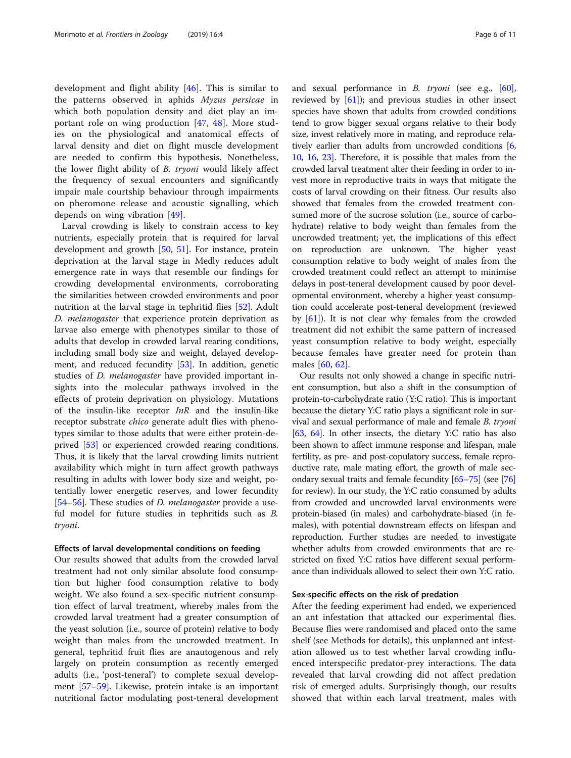development and flight ability [[46\]](#page-9-0). This is similar to the patterns observed in aphids Myzus persicae in which both population density and diet play an important role on wing production [[47,](#page-9-0) [48](#page-9-0)]. More studies on the physiological and anatomical effects of larval density and diet on flight muscle development are needed to confirm this hypothesis. Nonetheless, the lower flight ability of B. tryoni would likely affect the frequency of sexual encounters and significantly impair male courtship behaviour through impairments on pheromone release and acoustic signalling, which depends on wing vibration [[49\]](#page-9-0).

Larval crowding is likely to constrain access to key nutrients, especially protein that is required for larval development and growth [\[50](#page-9-0), [51](#page-9-0)]. For instance, protein deprivation at the larval stage in Medly reduces adult emergence rate in ways that resemble our findings for crowding developmental environments, corroborating the similarities between crowded environments and poor nutrition at the larval stage in tephritid flies [\[52](#page-9-0)]. Adult D. melanogaster that experience protein deprivation as larvae also emerge with phenotypes similar to those of adults that develop in crowded larval rearing conditions, including small body size and weight, delayed development, and reduced fecundity [[53\]](#page-9-0). In addition, genetic studies of D. melanogaster have provided important insights into the molecular pathways involved in the effects of protein deprivation on physiology. Mutations of the insulin-like receptor  $InR$  and the insulin-like receptor substrate chico generate adult flies with phenotypes similar to those adults that were either protein-deprived [[53\]](#page-9-0) or experienced crowded rearing conditions. Thus, it is likely that the larval crowding limits nutrient availability which might in turn affect growth pathways resulting in adults with lower body size and weight, potentially lower energetic reserves, and lower fecundity [[54](#page-9-0)–[56](#page-9-0)]. These studies of *D. melanogaster* provide a useful model for future studies in tephritids such as B. tryoni.

# Effects of larval developmental conditions on feeding

Our results showed that adults from the crowded larval treatment had not only similar absolute food consumption but higher food consumption relative to body weight. We also found a sex-specific nutrient consumption effect of larval treatment, whereby males from the crowded larval treatment had a greater consumption of the yeast solution (i.e., source of protein) relative to body weight than males from the uncrowded treatment. In general, tephritid fruit flies are anautogenous and rely largely on protein consumption as recently emerged adults (i.e., 'post-teneral') to complete sexual development [\[57](#page-9-0)–[59\]](#page-10-0). Likewise, protein intake is an important nutritional factor modulating post-teneral development and sexual performance in *B. tryoni* (see e.g., [[60](#page-10-0)], reviewed by  $[61]$  $[61]$ ; and previous studies in other insect species have shown that adults from crowded conditions tend to grow bigger sexual organs relative to their body size, invest relatively more in mating, and reproduce relatively earlier than adults from uncrowded conditions [[6](#page-8-0), [10](#page-9-0), [16](#page-9-0), [23\]](#page-9-0). Therefore, it is possible that males from the crowded larval treatment alter their feeding in order to invest more in reproductive traits in ways that mitigate the costs of larval crowding on their fitness. Our results also showed that females from the crowded treatment consumed more of the sucrose solution (i.e., source of carbohydrate) relative to body weight than females from the uncrowded treatment; yet, the implications of this effect on reproduction are unknown. The higher yeast consumption relative to body weight of males from the crowded treatment could reflect an attempt to minimise delays in post-teneral development caused by poor developmental environment, whereby a higher yeast consumption could accelerate post-teneral development (reviewed by [[61](#page-10-0)]). It is not clear why females from the crowded treatment did not exhibit the same pattern of increased yeast consumption relative to body weight, especially because females have greater need for protein than males [[60,](#page-10-0) [62\]](#page-10-0).

Our results not only showed a change in specific nutrient consumption, but also a shift in the consumption of protein-to-carbohydrate ratio (Y:C ratio). This is important because the dietary Y:C ratio plays a significant role in survival and sexual performance of male and female B. tryoni [[63](#page-10-0), [64](#page-10-0)]. In other insects, the dietary Y:C ratio has also been shown to affect immune response and lifespan, male fertility, as pre- and post-copulatory success, female reproductive rate, male mating effort, the growth of male secondary sexual traits and female fecundity [\[65](#page-10-0)–[75\]](#page-10-0) (see [[76](#page-10-0)] for review). In our study, the Y:C ratio consumed by adults from crowded and uncrowded larval environments were protein-biased (in males) and carbohydrate-biased (in females), with potential downstream effects on lifespan and reproduction. Further studies are needed to investigate whether adults from crowded environments that are restricted on fixed Y:C ratios have different sexual performance than individuals allowed to select their own Y:C ratio.

# Sex-specific effects on the risk of predation

After the feeding experiment had ended, we experienced an ant infestation that attacked our experimental flies. Because flies were randomised and placed onto the same shelf (see Methods for details), this unplanned ant infestation allowed us to test whether larval crowding influenced interspecific predator-prey interactions. The data revealed that larval crowding did not affect predation risk of emerged adults. Surprisingly though, our results showed that within each larval treatment, males with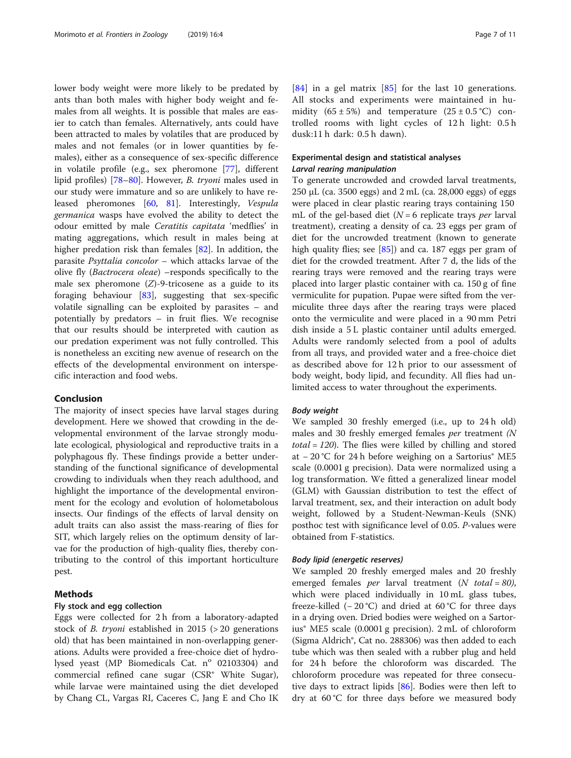lower body weight were more likely to be predated by ants than both males with higher body weight and females from all weights. It is possible that males are easier to catch than females. Alternatively, ants could have been attracted to males by volatiles that are produced by males and not females (or in lower quantities by females), either as a consequence of sex-specific difference in volatile profile (e.g., sex pheromone [\[77](#page-10-0)], different lipid profiles) [\[78](#page-10-0)–[80\]](#page-10-0). However, B. tryoni males used in our study were immature and so are unlikely to have released pheromones [[60,](#page-10-0) [81](#page-10-0)]. Interestingly, Vespula germanica wasps have evolved the ability to detect the odour emitted by male Ceratitis capitata 'medflies' in mating aggregations, which result in males being at higher predation risk than females [\[82\]](#page-10-0). In addition, the parasite Psyttalia concolor – which attacks larvae of the olive fly (Bactrocera oleae) –responds specifically to the male sex pheromone  $(Z)$ -9-tricosene as a guide to its foraging behaviour [\[83\]](#page-10-0), suggesting that sex-specific volatile signalling can be exploited by parasites – and potentially by predators – in fruit flies. We recognise that our results should be interpreted with caution as our predation experiment was not fully controlled. This is nonetheless an exciting new avenue of research on the effects of the developmental environment on interspecific interaction and food webs.

# Conclusion

The majority of insect species have larval stages during development. Here we showed that crowding in the developmental environment of the larvae strongly modulate ecological, physiological and reproductive traits in a polyphagous fly. These findings provide a better understanding of the functional significance of developmental crowding to individuals when they reach adulthood, and highlight the importance of the developmental environment for the ecology and evolution of holometabolous insects. Our findings of the effects of larval density on adult traits can also assist the mass-rearing of flies for SIT, which largely relies on the optimum density of larvae for the production of high-quality flies, thereby contributing to the control of this important horticulture pest.

# Methods

# Fly stock and egg collection

Eggs were collected for 2 h from a laboratory-adapted stock of B. tryoni established in 2015 (> 20 generations old) that has been maintained in non-overlapping generations. Adults were provided a free-choice diet of hydrolysed yeast (MP Biomedicals Cat. nº 02103304) and commercial refined cane sugar (CSR® White Sugar), while larvae were maintained using the diet developed by Chang CL, Vargas RI, Caceres C, Jang E and Cho IK [[84\]](#page-10-0) in a gel matrix [[85](#page-10-0)] for the last 10 generations. All stocks and experiments were maintained in humidity  $(65 \pm 5\%)$  and temperature  $(25 \pm 0.5\degree\text{C})$  controlled rooms with light cycles of 12 h light: 0.5 h dusk:11 h dark: 0.5 h dawn).

# Experimental design and statistical analyses Larval rearing manipulation

To generate uncrowded and crowded larval treatments, 250 μL (ca. 3500 eggs) and 2 mL (ca. 28,000 eggs) of eggs were placed in clear plastic rearing trays containing 150 mL of the gel-based diet ( $N = 6$  replicate trays *per* larval treatment), creating a density of ca. 23 eggs per gram of diet for the uncrowded treatment (known to generate high quality flies; see [[85\]](#page-10-0)) and ca. 187 eggs per gram of diet for the crowded treatment. After 7 d, the lids of the rearing trays were removed and the rearing trays were placed into larger plastic container with ca. 150 g of fine vermiculite for pupation. Pupae were sifted from the vermiculite three days after the rearing trays were placed onto the vermiculite and were placed in a 90 mm Petri dish inside a 5 L plastic container until adults emerged. Adults were randomly selected from a pool of adults from all trays, and provided water and a free-choice diet as described above for 12 h prior to our assessment of body weight, body lipid, and fecundity. All flies had unlimited access to water throughout the experiments.

# Body weight

We sampled 30 freshly emerged (i.e., up to 24 h old) males and 30 freshly emerged females *per* treatment  $(N)$  $total = 120$ ). The flies were killed by chilling and stored at − 20 °C for 24 h before weighing on a Sartorius® ME5 scale (0.0001 g precision). Data were normalized using a log transformation. We fitted a generalized linear model (GLM) with Gaussian distribution to test the effect of larval treatment, sex, and their interaction on adult body weight, followed by a Student-Newman-Keuls (SNK) posthoc test with significance level of 0.05. P-values were obtained from F-statistics.

#### Body lipid (energetic reserves)

We sampled 20 freshly emerged males and 20 freshly emerged females *per* larval treatment (*N* total = 80), which were placed individually in 10 mL glass tubes, freeze-killed (− 20 °C) and dried at 60 °C for three days in a drying oven. Dried bodies were weighed on a Sartorius® ME5 scale (0.0001 g precision). 2 mL of chloroform (Sigma Aldrich®, Cat no. 288306) was then added to each tube which was then sealed with a rubber plug and held for 24 h before the chloroform was discarded. The chloroform procedure was repeated for three consecutive days to extract lipids [\[86\]](#page-10-0). Bodies were then left to dry at 60 °C for three days before we measured body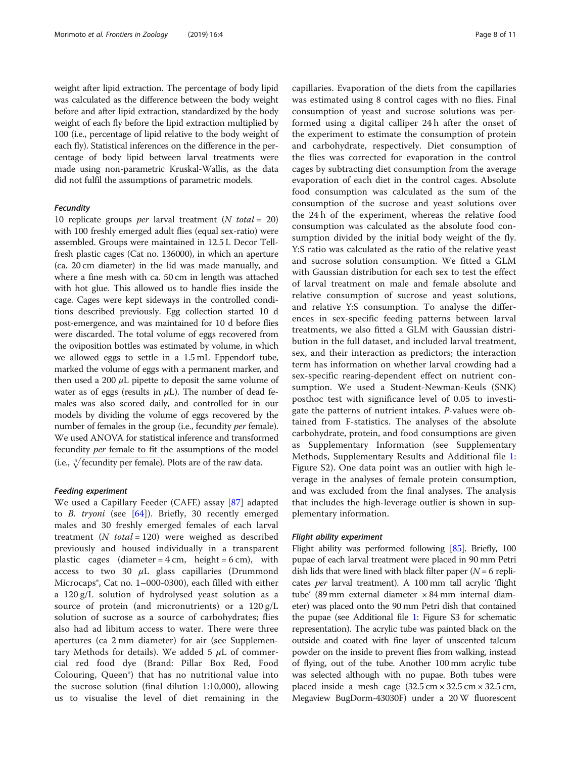weight after lipid extraction. The percentage of body lipid was calculated as the difference between the body weight before and after lipid extraction, standardized by the body weight of each fly before the lipid extraction multiplied by 100 (i.e., percentage of lipid relative to the body weight of each fly). Statistical inferences on the difference in the percentage of body lipid between larval treatments were made using non-parametric Kruskal-Wallis, as the data did not fulfil the assumptions of parametric models.

#### **Fecundity**

10 replicate groups *per* larval treatment (*N total* = 20) with 100 freshly emerged adult flies (equal sex-ratio) were assembled. Groups were maintained in 12.5 L Decor Tellfresh plastic cages (Cat no. 136000), in which an aperture (ca. 20 cm diameter) in the lid was made manually, and where a fine mesh with ca. 50 cm in length was attached with hot glue. This allowed us to handle flies inside the cage. Cages were kept sideways in the controlled conditions described previously. Egg collection started 10 d post-emergence, and was maintained for 10 d before flies were discarded. The total volume of eggs recovered from the oviposition bottles was estimated by volume, in which we allowed eggs to settle in a 1.5 mL Eppendorf tube, marked the volume of eggs with a permanent marker, and then used a 200  $\mu$ L pipette to deposit the same volume of water as of eggs (results in  $\mu$ L). The number of dead females was also scored daily, and controlled for in our models by dividing the volume of eggs recovered by the number of females in the group (i.e., fecundity *per* female). We used ANOVA for statistical inference and transformed fecundity per female to fit the assumptions of the model fecundity *per* remale to fit the assumptions of the m<br>(i.e.,  $\sqrt[4]{\text{fecundity}}$  per female). Plots are of the raw data.

# Feeding experiment

We used a Capillary Feeder (CAFE) assay [[87](#page-10-0)] adapted to B. tryoni (see [[64\]](#page-10-0)). Briefly, 30 recently emerged males and 30 freshly emerged females of each larval treatment ( $N$  total = 120) were weighed as described previously and housed individually in a transparent plastic cages (diameter =  $4 \text{ cm}$ , height =  $6 \text{ cm}$ ), with access to two 30  $\mu$ L glass capillaries (Drummond Microcaps<sup>®</sup>, Cat no. 1–000-0300), each filled with either a 120 g/L solution of hydrolysed yeast solution as a source of protein (and micronutrients) or a 120 g/L solution of sucrose as a source of carbohydrates; flies also had ad libitum access to water. There were three apertures (ca 2 mm diameter) for air (see Supplementary Methods for details). We added 5  $\mu$ L of commercial red food dye (Brand: Pillar Box Red, Food Colouring, Queen®) that has no nutritional value into the sucrose solution (final dilution 1:10,000), allowing us to visualise the level of diet remaining in the capillaries. Evaporation of the diets from the capillaries was estimated using 8 control cages with no flies. Final consumption of yeast and sucrose solutions was performed using a digital calliper 24 h after the onset of the experiment to estimate the consumption of protein and carbohydrate, respectively. Diet consumption of the flies was corrected for evaporation in the control cages by subtracting diet consumption from the average evaporation of each diet in the control cages. Absolute food consumption was calculated as the sum of the consumption of the sucrose and yeast solutions over the 24 h of the experiment, whereas the relative food consumption was calculated as the absolute food consumption divided by the initial body weight of the fly. Y:S ratio was calculated as the ratio of the relative yeast and sucrose solution consumption. We fitted a GLM with Gaussian distribution for each sex to test the effect of larval treatment on male and female absolute and relative consumption of sucrose and yeast solutions, and relative Y:S consumption. To analyse the differences in sex-specific feeding patterns between larval treatments, we also fitted a GLM with Gaussian distribution in the full dataset, and included larval treatment, sex, and their interaction as predictors; the interaction term has information on whether larval crowding had a sex-specific rearing-dependent effect on nutrient consumption. We used a Student-Newman-Keuls (SNK) posthoc test with significance level of 0.05 to investigate the patterns of nutrient intakes. P-values were obtained from F-statistics. The analyses of the absolute carbohydrate, protein, and food consumptions are given as Supplementary Information (see Supplementary Methods, Supplementary Results and Additional file [1](#page-8-0): Figure S2). One data point was an outlier with high leverage in the analyses of female protein consumption, and was excluded from the final analyses. The analysis that includes the high-leverage outlier is shown in supplementary information.

#### Flight ability experiment

Flight ability was performed following [\[85\]](#page-10-0). Briefly, 100 pupae of each larval treatment were placed in 90 mm Petri dish lids that were lined with black filter paper ( $N = 6$  replicates per larval treatment). A 100 mm tall acrylic 'flight tube' (89 mm external diameter  $\times$  84 mm internal diameter) was placed onto the 90 mm Petri dish that contained the pupae (see Additional file [1:](#page-8-0) Figure S3 for schematic representation). The acrylic tube was painted black on the outside and coated with fine layer of unscented talcum powder on the inside to prevent flies from walking, instead of flying, out of the tube. Another 100 mm acrylic tube was selected although with no pupae. Both tubes were placed inside a mesh cage  $(32.5 \text{ cm} \times 32.5 \text{ cm} \times 32.5 \text{ cm}$ , Megaview BugDorm-43030F) under a 20 W fluorescent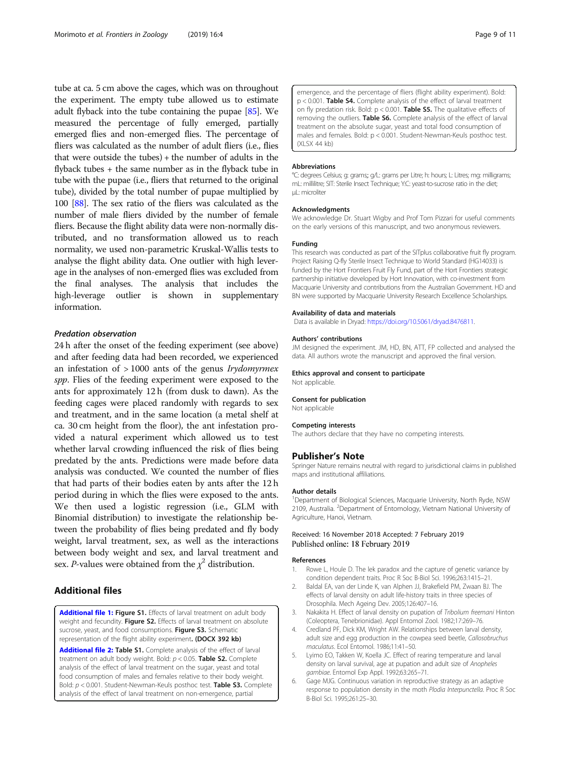<span id="page-8-0"></span>tube at ca. 5 cm above the cages, which was on throughout the experiment. The empty tube allowed us to estimate adult flyback into the tube containing the pupae [\[85\]](#page-10-0). We measured the percentage of fully emerged, partially emerged flies and non-emerged flies. The percentage of fliers was calculated as the number of adult fliers (i.e., flies that were outside the tubes) + the number of adults in the flyback tubes + the same number as in the flyback tube in tube with the pupae (i.e., fliers that returned to the original tube), divided by the total number of pupae multiplied by 100 [[88](#page-10-0)]. The sex ratio of the fliers was calculated as the number of male fliers divided by the number of female fliers. Because the flight ability data were non-normally distributed, and no transformation allowed us to reach normality, we used non-parametric Kruskal-Wallis tests to analyse the flight ability data. One outlier with high leverage in the analyses of non-emerged flies was excluded from the final analyses. The analysis that includes the high-leverage outlier is shown in supplementary information.

# Predation observation

24 h after the onset of the feeding experiment (see above) and after feeding data had been recorded, we experienced an infestation of  $> 1000$  ants of the genus *Irydomyrmex* spp. Flies of the feeding experiment were exposed to the ants for approximately 12 h (from dusk to dawn). As the feeding cages were placed randomly with regards to sex and treatment, and in the same location (a metal shelf at ca. 30 cm height from the floor), the ant infestation provided a natural experiment which allowed us to test whether larval crowding influenced the risk of flies being predated by the ants. Predictions were made before data analysis was conducted. We counted the number of flies that had parts of their bodies eaten by ants after the 12 h period during in which the flies were exposed to the ants. We then used a logistic regression (i.e., GLM with Binomial distribution) to investigate the relationship between the probability of flies being predated and fly body weight, larval treatment, sex, as well as the interactions between body weight and sex, and larval treatment and sex. P-values were obtained from the  $\chi^2$  distribution.

# Additional files

[Additional file 1:](https://doi.org/10.1186/s12983-019-0302-4) Figure S1. Effects of larval treatment on adult body weight and fecundity. Figure S2. Effects of larval treatment on absolute sucrose, yeast, and food consumptions. Figure S3. Schematic representation of the flight ability experiment. (DOCX 392 kb)

[Additional file 2:](https://doi.org/10.1186/s12983-019-0302-4) Table S1. Complete analysis of the effect of larval treatment on adult body weight. Bold:  $p < 0.05$ . Table S2. Complete analysis of the effect of larval treatment on the sugar, yeast and total food consumption of males and females relative to their body weight. Bold:  $p < 0.001$ . Student-Newman-Keuls posthoc test. Table S3. Complete analysis of the effect of larval treatment on non-emergence, partial

emergence, and the percentage of fliers (flight ability experiment). Bold: p < 0.001. Table S4. Complete analysis of the effect of larval treatment on fly predation risk. Bold:  $p < 0.001$ . Table S5. The qualitative effects of removing the outliers. Table S6. Complete analysis of the effect of larval treatment on the absolute sugar, yeast and total food consumption of males and females. Bold: p < 0.001. Student-Newman-Keuls posthoc test. (XI SX 44 kb)

#### Abbreviations

°C: degrees Celsius; g: grams;; g/L: grams per Litre; h: hours; L: Litres; mg: milligrams; mL: millilitre; SIT: Sterile Insect Technique; Y:C: yeast-to-sucrose ratio in the diet; μL: microliter

#### Acknowledgments

We acknowledge Dr. Stuart Wigby and Prof Tom Pizzari for useful comments on the early versions of this manuscript, and two anonymous reviewers.

#### Funding

This research was conducted as part of the SITplus collaborative fruit fly program. Project Raising Q-fly Sterile Insect Technique to World Standard (HG14033) is funded by the Hort Frontiers Fruit Fly Fund, part of the Hort Frontiers strategic partnership initiative developed by Hort Innovation, with co-investment from Macquarie University and contributions from the Australian Government. HD and BN were supported by Macquarie University Research Excellence Scholarships.

#### Availability of data and materials

Data is available in Dryad: <https://doi.org/10.5061/dryad.8476811>.

#### Authors' contributions

JM designed the experiment. JM, HD, BN, ATT, FP collected and analysed the data. All authors wrote the manuscript and approved the final version.

#### Ethics approval and consent to participate

Not applicable.

#### Consent for publication

Not applicable

#### Competing interests

The authors declare that they have no competing interests.

#### Publisher's Note

Springer Nature remains neutral with regard to jurisdictional claims in published maps and institutional affiliations.

#### Author details

<sup>1</sup>Department of Biological Sciences, Macquarie University, North Ryde, NSW 2109, Australia. <sup>2</sup>Department of Entomology, Vietnam National University of Agriculture, Hanoi, Vietnam.

#### Received: 16 November 2018 Accepted: 7 February 2019 Published online: 18 February 2019

#### References

- 1. Rowe L, Houle D. The lek paradox and the capture of genetic variance by condition dependent traits. Proc R Soc B-Biol Sci. 1996;263:1415–21.
- 2. Baldal EA, van der Linde K, van Alphen JJ, Brakefield PM, Zwaan BJ. The effects of larval density on adult life-history traits in three species of Drosophila. Mech Ageing Dev. 2005;126:407–16.
- 3. Nakakita H. Effect of larval density on pupation of Tribolium freemani Hinton (Coleoptera, Tenebrionidae). Appl Entomol Zool. 1982;17:269–76.
- 4. Credland PF, Dick KM, Wright AW. Relationships between larval density, adult size and egg production in the cowpea seed beetle, Callosobruchus maculatus. Ecol Entomol. 1986;11:41–50.
- 5. Lyimo EO, Takken W, Koella JC. Effect of rearing temperature and larval density on larval survival, age at pupation and adult size of Anopheles gambiae. Entomol Exp Appl. 1992;63:265–71.
- 6. Gage MJG. Continuous variation in reproductive strategy as an adaptive response to population density in the moth Plodia Interpunctella. Proc R Soc B-Biol Sci. 1995;261:25–30.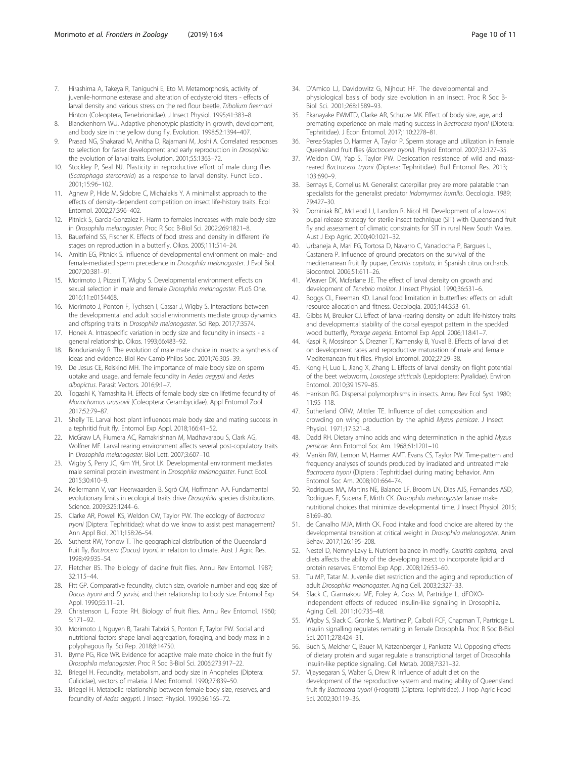- <span id="page-9-0"></span>7. Hirashima A, Takeya R, Taniguchi E, Eto M. Metamorphosis, activity of juvenile-hormone esterase and alteration of ecdysteroid titers - effects of larval density and various stress on the red flour beetle, Tribolium freemani Hinton (Coleoptera, Tenebrionidae). J Insect Physiol. 1995;41:383–8.
- 8. Blanckenhorn WU. Adaptive phenotypic plasticity in growth, development, and body size in the yellow dung fly. Evolution. 1998;52:1394–407.
- Prasad NG, Shakarad M, Anitha D, Rajamani M, Joshi A. Correlated responses to selection for faster development and early reproduction in Drosophila: the evolution of larval traits. Evolution. 2001;55:1363–72.
- 10. Stockley P, Seal NJ. Plasticity in reproductive effort of male dung flies (Scatophaga stercoraria) as a response to larval density. Funct Ecol. 2001;15:96–102.
- 11. Agnew P, Hide M, Sidobre C, Michalakis Y. A minimalist approach to the effects of density-dependent competition on insect life-history traits. Ecol Entomol. 2002;27:396–402.
- 12. Pitnick S, Garcia-Gonzalez F. Harm to females increases with male body size in Drosophila melanogaster. Proc R Soc B-Biol Sci. 2002;269:1821–8.
- 13. Bauerfeind SS, Fischer K. Effects of food stress and density in different life stages on reproduction in a butterfly. Oikos. 2005;111:514–24.
- 14. Amitin EG, Pitnick S. Influence of developmental environment on male- and female-mediated sperm precedence in Drosophila melanogaster. J Evol Biol. 2007;20:381–91.
- 15. Morimoto J, Pizzari T, Wigby S. Developmental environment effects on sexual selection in male and female Drosophila melanogaster. PLoS One. 2016;11:e0154468.
- 16. Morimoto J, Ponton F, Tychsen I, Cassar J, Wigby S. Interactions between the developmental and adult social environments mediate group dynamics and offspring traits in Drosophila melanogaster. Sci Rep. 2017;7:3574.
- 17. Honek A. Intraspecific variation in body size and fecundity in insects a general relationship. Oikos. 1993;66:483–92.
- 18. Bonduriansky R. The evolution of male mate choice in insects: a synthesis of ideas and evidence. Biol Rev Camb Philos Soc. 2001;76:305–39.
- 19. De Jesus CE, Reiskind MH. The importance of male body size on sperm uptake and usage, and female fecundity in Aedes aegypti and Aedes albopictus. Parasit Vectors. 2016;9:1–7.
- 20. Togashi K, Yamashita H. Effects of female body size on lifetime fecundity of Monochamus urussovii (Coleoptera: Cerambycidae). Appl Entomol Zool. 2017;52:79–87.
- 21. Shelly TE. Larval host plant influences male body size and mating success in a tephritid fruit fly. Entomol Exp Appl. 2018;166:41–52.
- 22. McGraw LA, Fiumera AC, Ramakrishnan M, Madhavarapu S, Clark AG, Wolfner MF. Larval rearing environment affects several post-copulatory traits in Drosophila melanogaster. Biol Lett. 2007;3:607–10.
- 23. Wigby S, Perry JC, Kim YH, Sirot LK. Developmental environment mediates male seminal protein investment in Drosophila melanogaster. Funct Ecol. 2015;30:410–9.
- 24. Kellermann V, van Heerwaarden B, Sgrò CM, Hoffmann AA. Fundamental evolutionary limits in ecological traits drive Drosophila species distributions. Science. 2009;325:1244–6.
- 25. Clarke AR, Powell KS, Weldon CW, Taylor PW. The ecology of Bactrocera tryoni (Diptera: Tephritidae): what do we know to assist pest management? Ann Appl Biol. 2011;158:26–54.
- 26. Sutherst RW, Yonow T. The geographical distribution of the Queensland fruit fly, Bactrocera (Dacus) tryoni, in relation to climate. Aust J Agric Res. 1998;49:935–54.
- 27. Fletcher BS. The biology of dacine fruit flies. Annu Rev Entomol. 1987; 32:115–44.
- 28. Fitt GP. Comparative fecundity, clutch size, ovariole number and egg size of Dacus tryoni and D. jarvisi, and their relationship to body size. Entomol Exp Appl. 1990;55:11–21.
- 29. Christenson L, Foote RH. Biology of fruit flies. Annu Rev Entomol. 1960; 5:171–92.
- 30. Morimoto J, Nguyen B, Tarahi Tabrizi S, Ponton F, Taylor PW. Social and nutritional factors shape larval aggregation, foraging, and body mass in a polyphagous fly. Sci Rep. 2018;8:14750.
- 31. Byrne PG, Rice WR. Evidence for adaptive male mate choice in the fruit fly Drosophila melanogaster. Proc R Soc B-Biol Sci. 2006;273:917–22.
- 32. Briegel H. Fecundity, metabolism, and body size in Anopheles (Diptera: Culicidae), vectors of malaria. J Med Entomol. 1990;27:839–50.
- 33. Briegel H. Metabolic relationship between female body size, reserves, and fecundity of Aedes aegypti. J Insect Physiol. 1990;36:165–72.
- 34. D'Amico LJ, Davidowitz G, Nijhout HF. The developmental and physiological basis of body size evolution in an insect. Proc R Soc B-Biol Sci. 2001;268:1589–93.
- 35. Ekanayake EWMTD, Clarke AR, Schutze MK. Effect of body size, age, and premating experience on male mating success in Bactrocera tryoni (Diptera: Tephritidae). J Econ Entomol. 2017;110:2278–81.
- Perez-Staples D, Harmer A, Taylor P. Sperm storage and utilization in female Queensland fruit flies (Bactrocera tryoni). Physiol Entomol. 2007;32:127–35.
- 37. Weldon CW, Yap S, Taylor PW. Desiccation resistance of wild and massreared Bactrocera tryoni (Diptera: Tephritidae). Bull Entomol Res. 2013; 103:690–9.
- 38. Bernays E, Cornelius M. Generalist caterpillar prey are more palatable than specialists for the generalist predator Iridomyrmex humilis. Oecologia. 1989; 79:427–30.
- 39. Dominiak BC, McLeod LJ, Landon R, Nicol HI. Development of a low-cost pupal release strategy for sterile insect technique (SIT) with Queensland fruit fly and assessment of climatic constraints for SIT in rural New South Wales. Aust J Exp Agric. 2000;40:1021–32.
- 40. Urbaneja A, Mari FG, Tortosa D, Navarro C, Vanaclocha P, Bargues L, Castanera P. Influence of ground predators on the survival of the mediterranean fruit fly pupae, Ceratitis capitata, in Spanish citrus orchards. Biocontrol. 2006;51:611–26.
- 41. Weaver DK, Mcfarlane JE. The effect of larval density on growth and development of Tenebrio molitor. J Insect Physiol. 1990;36:531–6.
- 42. Boggs CL, Freeman KD. Larval food limitation in butterflies: effects on adult resource allocation and fitness. Oecologia. 2005;144:353–61.
- 43. Gibbs M, Breuker CJ. Effect of larval-rearing density on adult life-history traits and developmental stability of the dorsal eyespot pattern in the speckled wood butterfly, Pararge aegeria. Entomol Exp Appl. 2006;118:41–7.
- 44. Kaspi R, Mossinson S, Drezner T, Kamensky B, Yuval B. Effects of larval diet on development rates and reproductive maturation of male and female Mediterranean fruit flies. Physiol Entomol. 2002;27:29–38.
- 45. Kong H, Luo L, Jiang X, Zhang L. Effects of larval density on flight potential of the beet webworm, Loxostege sticticalis (Lepidoptera: Pyralidae). Environ Entomol. 2010;39:1579–85.
- 46. Harrison RG. Dispersal polymorphisms in insects. Annu Rev Ecol Syst. 1980; 11:95–118.
- 47. Sutherland ORW, Mittler TE. Influence of diet composition and crowding on wing production by the aphid Myzus persicae. J Insect Physiol. 1971;17:321–8.
- 48. Dadd RH. Dietary amino acids and wing determination in the aphid Myzus persicae. Ann Entomol Soc Am. 1968;61:1201–10.
- 49. Mankin RW, Lemon M, Harmer AMT, Evans CS, Taylor PW. Time-pattern and frequency analyses of sounds produced by irradiated and untreated male Bactrocera tryoni (Diptera : Tephritidae) during mating behavior. Ann Entomol Soc Am. 2008;101:664–74.
- 50. Rodrigues MA, Martins NE, Balance LF, Broom LN, Dias AJS, Fernandes ASD, Rodrigues F, Sucena E, Mirth CK. Drosophila melanogaster larvae make nutritional choices that minimize developmental time. J Insect Physiol. 2015; 81:69–80.
- 51. de Carvalho MJA, Mirth CK. Food intake and food choice are altered by the developmental transition at critical weight in Drosophila melanogaster. Anim Behav. 2017;126:195–208.
- 52. Nestel D, Nemny-Lavy E. Nutrient balance in medfly, Ceratitis capitata, larval diets affects the ability of the developing insect to incorporate lipid and protein reserves. Entomol Exp Appl. 2008;126:53–60.
- 53. Tu MP, Tatar M. Juvenile diet restriction and the aging and reproduction of adult Drosophila melanogaster. Aging Cell. 2003;2:327–33.
- 54. Slack C, Giannakou ME, Foley A, Goss M, Partridge L. dFOXOindependent effects of reduced insulin-like signaling in Drosophila. Aging Cell. 2011;10:735–48.
- 55. Wigby S, Slack C, Gronke S, Martinez P, Calboli FCF, Chapman T, Partridge L. Insulin signalling regulates remating in female Drosophila. Proc R Soc B-Biol Sci. 2011;278:424–31.
- Buch S, Melcher C, Bauer M, Katzenberger J, Pankratz MJ. Opposing effects of dietary protein and sugar regulate a transcriptional target of Drosophila insulin-like peptide signaling. Cell Metab. 2008;7:321–32.
- 57. Vijaysegaran S, Walter G, Drew R. Influence of adult diet on the development of the reproductive system and mating ability of Queensland fruit fly Bactrocera tryoni (Frogratt) (Diptera: Tephritidae). J Trop Agric Food Sci. 2002;30:119–36.